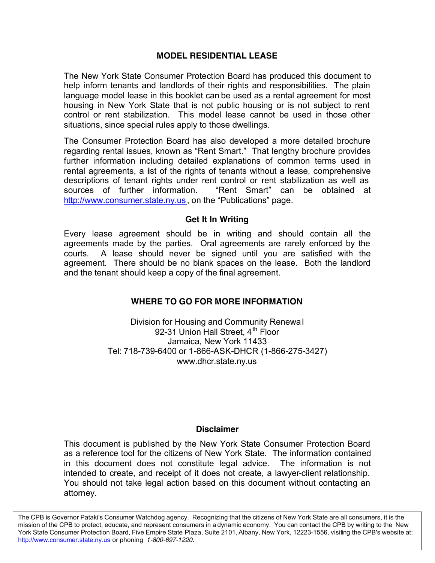## **MODEL RESIDENTIAL LEASE**

The New York State Consumer Protection Board has produced this document to help inform tenants and landlords of their rights and responsibilities. The plain language model lease in this booklet can be used as a rental agreement for most housing in New York State that is not public housing or is not subject to rent control or rent stabilization. This model lease cannot be used in those other situations, since special rules apply to those dwellings.

The Consumer Protection Board has also developed a more detailed brochure regarding rental issues, known as "Rent Smart." That lengthy brochure provides further information including detailed explanations of common terms used in rental agreements, a list of the rights of tenants without a lease, comprehensive descriptions of tenant rights under rent control or rent stabilization as well as sources of further information. "Rent Smart" can be obtained at http://www.consumer.state.ny.us, on the "Publications" page.

#### **Get It In Writing**

Every lease agreement should be in writing and should contain all the agreements made by the parties. Oral agreements are rarely enforced by the courts. A lease should never be signed until you are satisfied with the agreement. There should be no blank spaces on the lease. Both the landlord and the tenant should keep a copy of the final agreement.

### **WHERE TO GO FOR MORE INFORMATION**

Division for Housing and Community Renewal 92-31 Union Hall Street,  $4<sup>th</sup>$  Floor Jamaica, New York 11433 Tel: 718-739-6400 or 1-866-ASK-DHCR (1-866-275-3427) www.dhcr.state.ny.us

#### **Disclaimer**

This document is published by the New York State Consumer Protection Board as a reference tool for the citizens of New York State. The information contained in this document does not constitute legal advice. The information is not intended to create, and receipt of it does not create, a lawyer-client relationship. You should not take legal action based on this document without contacting an attorney.

The CPB is Governor Pataki's Consumer Watchdog agency. Recognizing that the citizens of New York State are all consumers, it is the mission of the CPB to protect, educate, and represent consumers in a dynamic economy. You can contact the CPB by writing to the New York State Consumer Protection Board, Five Empire State Plaza, Suite 2101, Albany, New York, 12223-1556, visiting the CPB's website at: http://www.consumer.state.ny.us or phoning *1-800-697-1220.*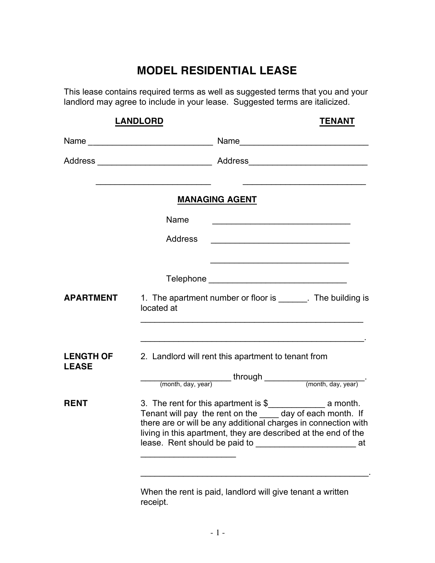# **MODEL RESIDENTIAL LEASE**

This lease contains required terms as well as suggested terms that you and your landlord may agree to include in your lease. Suggested terms are italicized.

| <b>LANDLORD</b>                  |                | <b>TENANT</b>                                                                                                                                                                             |  |  |
|----------------------------------|----------------|-------------------------------------------------------------------------------------------------------------------------------------------------------------------------------------------|--|--|
|                                  |                |                                                                                                                                                                                           |  |  |
|                                  |                |                                                                                                                                                                                           |  |  |
|                                  |                | <b>MANAGING AGENT</b>                                                                                                                                                                     |  |  |
|                                  | Name           | <u> 1989 - Johann Stein, mars ar yw y cyfan y cynnwys y cynnwys y cynnwys y cynnwys y cynnwys y cynnwys y cynnwys</u>                                                                     |  |  |
|                                  | <b>Address</b> |                                                                                                                                                                                           |  |  |
|                                  |                |                                                                                                                                                                                           |  |  |
| <b>APARTMENT</b>                 | located at     | 1. The apartment number or floor is _______. The building is                                                                                                                              |  |  |
| <b>LENGTH OF</b><br><b>LEASE</b> |                | 2. Landlord will rent this apartment to tenant from                                                                                                                                       |  |  |
| <b>RENT</b>                      |                | Tenant will pay the rent on the day of each month. If<br>there are or will be any additional charges in connection with<br>living in this apartment, they are described at the end of the |  |  |

When the rent is paid, landlord will give tenant a written receipt.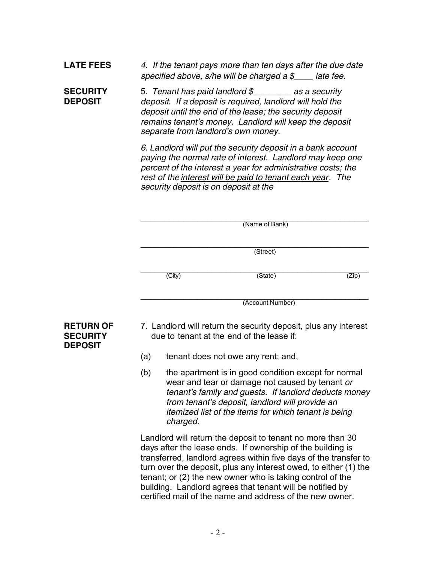# **LATE FEES** *4. If the tenant pays more than ten days after the due date specified above, s/he will be charged a \$\_\_\_\_ late fee.*

**SECURITY** 5. *Tenant has paid landlord \$\_\_\_\_\_\_\_\_ as a security*  **DEPOSIT** *deposit. If a deposit is required, landlord will hold the deposit until the end of the lease; the security deposit remains tenant's money. Landlord will keep the deposit separate from landlord's own money.*

> *6. Landlord will put the security deposit in a bank account paying the normal rate of interest. Landlord may keep one percent of the interest a year for administrative costs; the rest of the interest will be paid to tenant each year. The security deposit is on deposit at the*

 $\mathcal{L}_\text{max}$  , and the contract of the contract of the contract of the contract of the contract of the contract of the contract of the contract of the contract of the contract of the contract of the contract of the contr

|        | (Name of Bank)   |                           |
|--------|------------------|---------------------------|
|        |                  |                           |
|        | (Street)         |                           |
|        |                  |                           |
| (City) | (State)          | $\overline{\text{(Zip)}}$ |
|        |                  |                           |
|        | (Account Number) |                           |

# **DEPOSIT**

- **RETURN OF** 7. Landlord will return the security deposit, plus any interest **SECURITY due to tenant at the end of the lease if:** 
	- (a) tenant does not owe any rent; and,
	- (b) the apartment is in good condition except for normal wear and tear or damage not caused by tenant *or tenant's family and guests. If landlord deducts money from tenant's deposit, landlord will provide an itemized list of the items for which tenant is being charged*.

Landlord will return the deposit to tenant no more than 30 days after the lease ends. If ownership of the building is transferred, landlord agrees within five days of the transfer to turn over the deposit, plus any interest owed, to either (1) the tenant; or (2) the new owner who is taking control of the building. Landlord agrees that tenant will be notified by certified mail of the name and address of the new owner.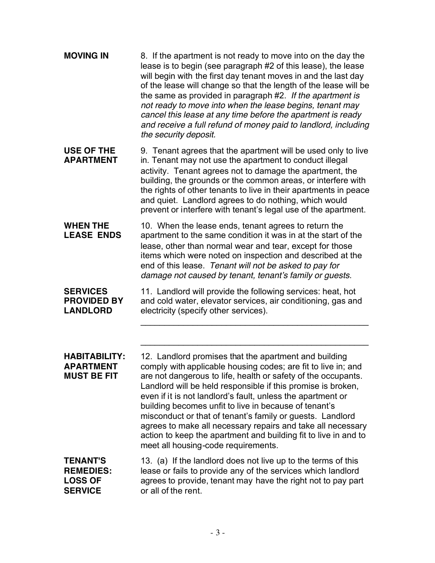| <b>MOVING IN</b>                                                        | 8. If the apartment is not ready to move into on the day the<br>lease is to begin (see paragraph #2 of this lease), the lease<br>will begin with the first day tenant moves in and the last day<br>of the lease will change so that the length of the lease will be<br>the same as provided in paragraph #2. If the apartment is<br>not ready to move into when the lease begins, tenant may<br>cancel this lease at any time before the apartment is ready<br>and receive a full refund of money paid to landlord, including<br>the security deposit.                                                                |
|-------------------------------------------------------------------------|-----------------------------------------------------------------------------------------------------------------------------------------------------------------------------------------------------------------------------------------------------------------------------------------------------------------------------------------------------------------------------------------------------------------------------------------------------------------------------------------------------------------------------------------------------------------------------------------------------------------------|
| <b>USE OF THE</b><br><b>APARTMENT</b>                                   | 9. Tenant agrees that the apartment will be used only to live<br>in. Tenant may not use the apartment to conduct illegal<br>activity. Tenant agrees not to damage the apartment, the<br>building, the grounds or the common areas, or interfere with<br>the rights of other tenants to live in their apartments in peace<br>and quiet. Landlord agrees to do nothing, which would<br>prevent or interfere with tenant's legal use of the apartment.                                                                                                                                                                   |
| <b>WHEN THE</b><br><b>LEASE ENDS</b>                                    | 10. When the lease ends, tenant agrees to return the<br>apartment to the same condition it was in at the start of the<br>lease, other than normal wear and tear, except for those<br>items which were noted on inspection and described at the<br>end of this lease. Tenant will not be asked to pay for<br>damage not caused by tenant, tenant's family or guests.                                                                                                                                                                                                                                                   |
| <b>SERVICES</b><br><b>PROVIDED BY</b><br><b>LANDLORD</b>                | 11. Landlord will provide the following services: heat, hot<br>and cold water, elevator services, air conditioning, gas and<br>electricity (specify other services).                                                                                                                                                                                                                                                                                                                                                                                                                                                  |
| <b>HABITABILITY:</b><br><b>APARTMENT</b><br><b>MUST BE FIT</b>          | 12. Landlord promises that the apartment and building<br>comply with applicable housing codes; are fit to live in; and<br>are not dangerous to life, health or safety of the occupants.<br>Landlord will be held responsible if this promise is broken,<br>even if it is not landlord's fault, unless the apartment or<br>building becomes unfit to live in because of tenant's<br>misconduct or that of tenant's family or guests. Landlord<br>agrees to make all necessary repairs and take all necessary<br>action to keep the apartment and building fit to live in and to<br>meet all housing-code requirements. |
| <b>TENANT'S</b><br><b>REMEDIES:</b><br><b>LOSS OF</b><br><b>SERVICE</b> | 13. (a) If the landlord does not live up to the terms of this<br>lease or fails to provide any of the services which landlord<br>agrees to provide, tenant may have the right not to pay part<br>or all of the rent.                                                                                                                                                                                                                                                                                                                                                                                                  |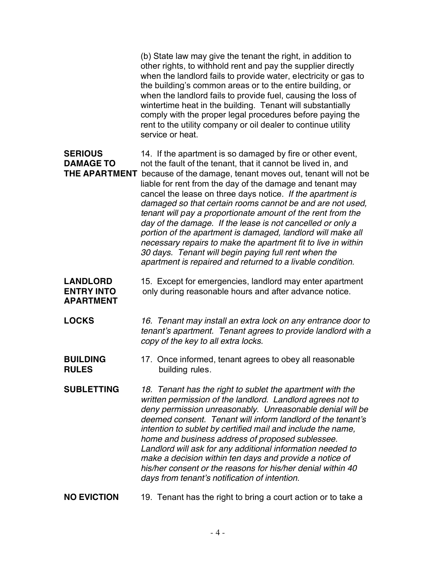(b) State law may give the tenant the right, in addition to other rights, to withhold rent and pay the supplier directly when the landlord fails to provide water, electricity or gas to the building's common areas or to the entire building, or when the landlord fails to provide fuel, causing the loss of wintertime heat in the building. Tenant will substantially comply with the proper legal procedures before paying the rent to the utility company or oil dealer to continue utility service or heat.

**SERIOUS** 14. If the apartment is so damaged by fire or other event, **DAMAGE TO** not the fault of the tenant, that it cannot be lived in, and **THE APARTMENT** because of the damage, tenant moves out, tenant will not be liable for rent from the day of the damage and tenant may cancel the lease on three days notice. *If the apartment is damaged so that certain rooms cannot be and are not used, tenant will pay a proportionate amount of the rent from the day of the damage. If the lease is not cancelled or only a portion of the apartment is damaged, landlord will make all necessary repairs to make the apartment fit to live in within 30 days. Tenant will begin paying full rent when the apartment is repaired and returned to a livable condition*.

**LANDLORD** 15. Except for emergencies, landlord may enter apartment **ENTRY INTO** only during reasonable hours and after advance notice. **APARTMENT**

**LOCKS** *16. Tenant may install an extra lock on any entrance door to tenant's apartment. Tenant agrees to provide landlord with a copy of the key to all extra locks.*

**BUILDING** 17. Once informed, tenant agrees to obey all reasonable **RULES** building rules.

**SUBLETTING** *18. Tenant has the right to sublet the apartment with the written permission of the landlord. Landlord agrees not to deny permission unreasonably. Unreasonable denial will be deemed consent. Tenant will inform landlord of the tenant's intention to sublet by certified mail and include the name, home and business address of proposed sublessee. Landlord will ask for any additional information needed to make a decision within ten days and provide a notice of his/her consent or the reasons for his/her denial within 40 days from tenant's notification of intention*.

**NO EVICTION** 19. Tenant has the right to bring a court action or to take a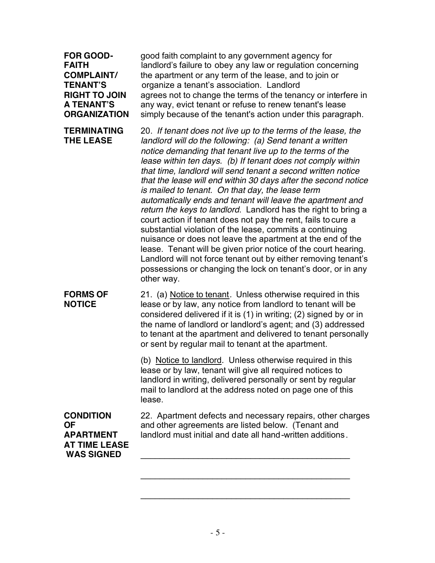| <b>FOR GOOD-</b><br><b>FAITH</b><br><b>COMPLAINT/</b><br><b>TENANT'S</b><br><b>RIGHT TO JOIN</b><br><b>A TENANT'S</b><br><b>ORGANIZATION</b> | good faith complaint to any government agency for<br>landlord's failure to obey any law or regulation concerning<br>the apartment or any term of the lease, and to join or<br>organize a tenant's association. Landlord<br>agrees not to change the terms of the tenancy or interfere in<br>any way, evict tenant or refuse to renew tenant's lease<br>simply because of the tenant's action under this paragraph.                                                                                                                                                                                                                                                                                                                                                                                                                                                                                                                                                                       |
|----------------------------------------------------------------------------------------------------------------------------------------------|------------------------------------------------------------------------------------------------------------------------------------------------------------------------------------------------------------------------------------------------------------------------------------------------------------------------------------------------------------------------------------------------------------------------------------------------------------------------------------------------------------------------------------------------------------------------------------------------------------------------------------------------------------------------------------------------------------------------------------------------------------------------------------------------------------------------------------------------------------------------------------------------------------------------------------------------------------------------------------------|
| <b>TERMINATING</b><br><b>THE LEASE</b>                                                                                                       | 20. If tenant does not live up to the terms of the lease, the<br>landlord will do the following: (a) Send tenant a written<br>notice demanding that tenant live up to the terms of the<br>lease within ten days. (b) If tenant does not comply within<br>that time, landlord will send tenant a second written notice<br>that the lease will end within 30 days after the second notice<br>is mailed to tenant. On that day, the lease term<br>automatically ends and tenant will leave the apartment and<br>return the keys to landlord. Landlord has the right to bring a<br>court action if tenant does not pay the rent, fails to cure a<br>substantial violation of the lease, commits a continuing<br>nuisance or does not leave the apartment at the end of the<br>lease. Tenant will be given prior notice of the court hearing.<br>Landlord will not force tenant out by either removing tenant's<br>possessions or changing the lock on tenant's door, or in any<br>other way. |
| <b>FORMS OF</b><br><b>NOTICE</b>                                                                                                             | 21. (a) Notice to tenant. Unless otherwise required in this<br>lease or by law, any notice from landlord to tenant will be<br>considered delivered if it is (1) in writing; (2) signed by or in<br>the name of landlord or landlord's agent; and (3) addressed<br>to tenant at the apartment and delivered to tenant personally<br>or sent by regular mail to tenant at the apartment.                                                                                                                                                                                                                                                                                                                                                                                                                                                                                                                                                                                                   |
|                                                                                                                                              | (b) Notice to landlord. Unless otherwise required in this<br>lease or by law, tenant will give all required notices to<br>landlord in writing, delivered personally or sent by regular<br>mail to landlord at the address noted on page one of this<br>lease.                                                                                                                                                                                                                                                                                                                                                                                                                                                                                                                                                                                                                                                                                                                            |
| <b>CONDITION</b><br><b>OF</b><br><b>APARTMENT</b><br><b>AT TIME LEASE</b><br><b>WAS SIGNED</b>                                               | 22. Apartment defects and necessary repairs, other charges<br>and other agreements are listed below. (Tenant and<br>landlord must initial and date all hand-written additions.                                                                                                                                                                                                                                                                                                                                                                                                                                                                                                                                                                                                                                                                                                                                                                                                           |
|                                                                                                                                              |                                                                                                                                                                                                                                                                                                                                                                                                                                                                                                                                                                                                                                                                                                                                                                                                                                                                                                                                                                                          |

 $\mathcal{L}_\text{max}$  , and the set of the set of the set of the set of the set of the set of the set of the set of the set of the set of the set of the set of the set of the set of the set of the set of the set of the set of the